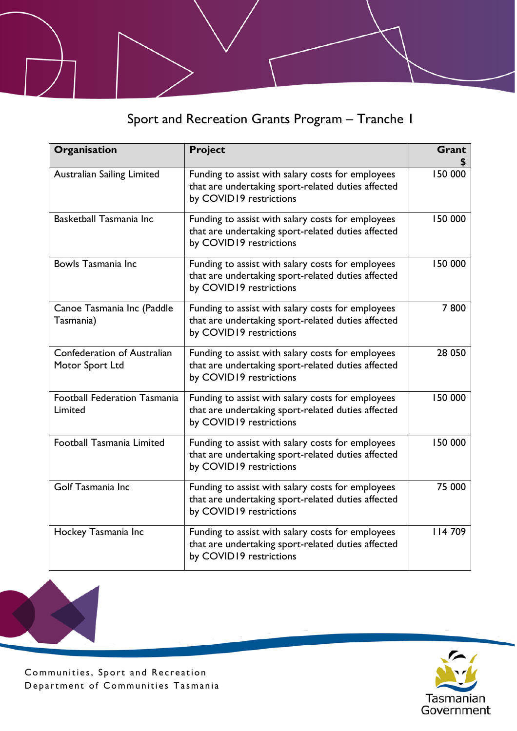Sport and Recreation Grants Program – Tranche 1

| Organisation                                   | <b>Project</b>                                                                                                                     | Grant   |
|------------------------------------------------|------------------------------------------------------------------------------------------------------------------------------------|---------|
| <b>Australian Sailing Limited</b>              | Funding to assist with salary costs for employees<br>that are undertaking sport-related duties affected<br>by COVID19 restrictions | 150 000 |
| Basketball Tasmania Inc                        | Funding to assist with salary costs for employees<br>that are undertaking sport-related duties affected<br>by COVID19 restrictions | 150 000 |
| Bowls Tasmania Inc                             | Funding to assist with salary costs for employees<br>that are undertaking sport-related duties affected<br>by COVID19 restrictions | 150 000 |
| Canoe Tasmania Inc (Paddle<br>Tasmania)        | Funding to assist with salary costs for employees<br>that are undertaking sport-related duties affected<br>by COVID19 restrictions | 7800    |
| Confederation of Australian<br>Motor Sport Ltd | Funding to assist with salary costs for employees<br>that are undertaking sport-related duties affected<br>by COVID19 restrictions | 28 050  |
| <b>Football Federation Tasmania</b><br>Limited | Funding to assist with salary costs for employees<br>that are undertaking sport-related duties affected<br>by COVID19 restrictions | 150 000 |
| <b>Football Tasmania Limited</b>               | Funding to assist with salary costs for employees<br>that are undertaking sport-related duties affected<br>by COVID19 restrictions | 150 000 |
| Golf Tasmania Inc                              | Funding to assist with salary costs for employees<br>that are undertaking sport-related duties affected<br>by COVID19 restrictions | 75 000  |
| Hockey Tasmania Inc                            | Funding to assist with salary costs for employees<br>that are undertaking sport-related duties affected<br>by COVID19 restrictions | 114709  |

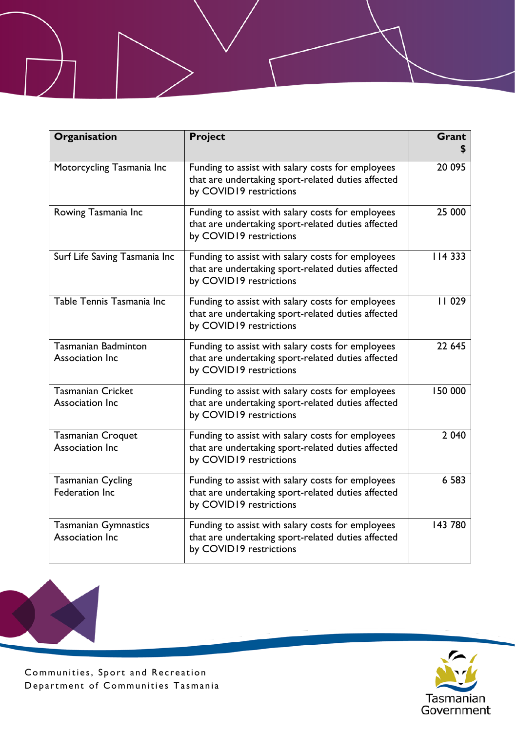| Organisation                                      | <b>Project</b>                                                                                                                     | Grant   |
|---------------------------------------------------|------------------------------------------------------------------------------------------------------------------------------------|---------|
| Motorcycling Tasmania Inc                         | Funding to assist with salary costs for employees<br>that are undertaking sport-related duties affected<br>by COVID19 restrictions | 20 095  |
| Rowing Tasmania Inc                               | Funding to assist with salary costs for employees<br>that are undertaking sport-related duties affected<br>by COVID19 restrictions | 25 000  |
| Surf Life Saving Tasmania Inc                     | Funding to assist with salary costs for employees<br>that are undertaking sport-related duties affected<br>by COVID19 restrictions | 114 333 |
| Table Tennis Tasmania Inc                         | Funding to assist with salary costs for employees<br>that are undertaking sport-related duties affected<br>by COVID19 restrictions | 11029   |
| Tasmanian Badminton<br>Association Inc            | Funding to assist with salary costs for employees<br>that are undertaking sport-related duties affected<br>by COVID19 restrictions | 22 645  |
| <b>Tasmanian Cricket</b><br>Association Inc       | Funding to assist with salary costs for employees<br>that are undertaking sport-related duties affected<br>by COVID19 restrictions | 150 000 |
| <b>Tasmanian Croquet</b><br>Association Inc       | Funding to assist with salary costs for employees<br>that are undertaking sport-related duties affected<br>by COVID19 restrictions | 2 0 4 0 |
| <b>Tasmanian Cycling</b><br><b>Federation Inc</b> | Funding to assist with salary costs for employees<br>that are undertaking sport-related duties affected<br>by COVID19 restrictions | 6 5 8 3 |
| <b>Tasmanian Gymnastics</b><br>Association Inc    | Funding to assist with salary costs for employees<br>that are undertaking sport-related duties affected<br>by COVID19 restrictions | 143 780 |